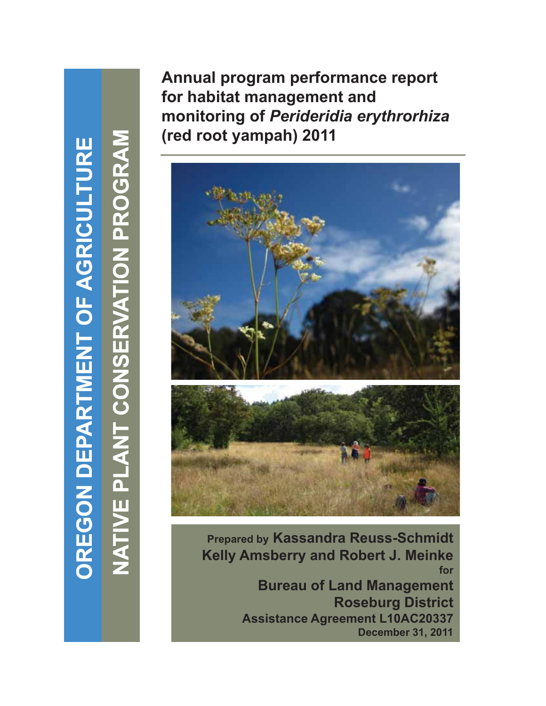**TURE GRICULT NT OF A G ARTME N ON DEPA OREG O** **GRAM G**

**ON PRO**

**PK** 

**O**

**ERVATI**

**T CONS T**

**VE PLAN**

**NATI**

**V**

**Annual program performance report for habitat management and it i f** *P id idi th hi* **monitoring of***Perideridia erythrorhiza* **(red root yampah) 2011** 



**Prepared by Kassandra Reuss-Schmidt Kelly Amsberry and Robert J. Meinke for Bureau of Land Management Roseburg District Assistance Agreement L10AC20337 December 31, 2011**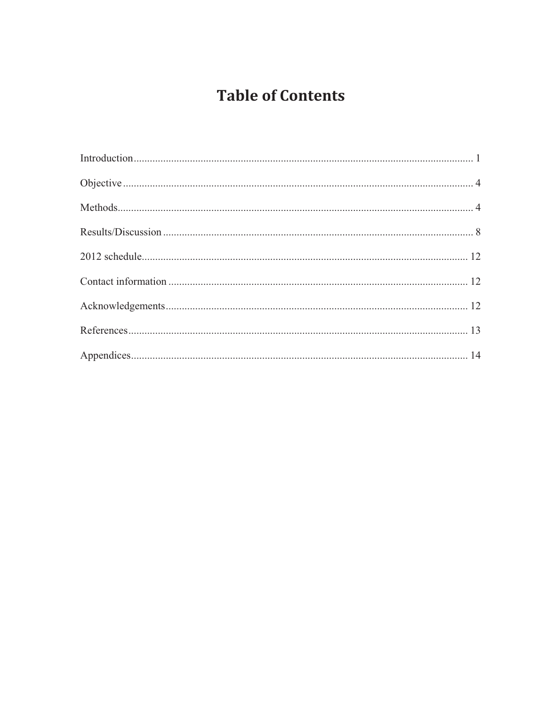# **Table of Contents**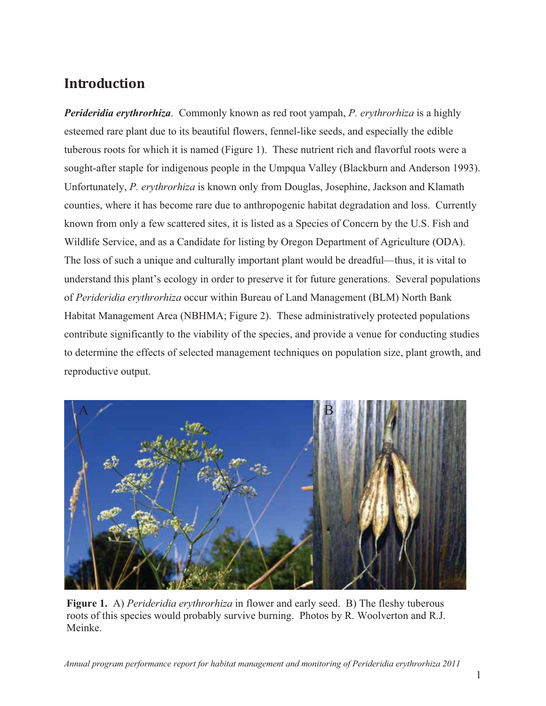# **Introduction-**

*Perideridia erythrorhiza*. Commonly known as red root yampah, *P. erythrorhiza* is a highly esteemed rare plant due to its beautiful flowers, fennel-like seeds, and especially the edible tuberous roots for which it is named (Figure 1). These nutrient rich and flavorful roots were a sought-after staple for indigenous people in the Umpqua Valley (Blackburn and Anderson 1993). Unfortunately, *P. erythrorhiza* is known only from Douglas, Josephine, Jackson and Klamath counties, where it has become rare due to anthropogenic habitat degradation and loss. Currently known from only a few scattered sites, it is listed as a Species of Concern by the U.S. Fish and Wildlife Service, and as a Candidate for listing by Oregon Department of Agriculture (ODA). The loss of such a unique and culturally important plant would be dreadful—thus, it is vital to understand this plant's ecology in order to preserve it for future generations. Several populations of *Perideridia erythrorhiza* occur within Bureau of Land Management (BLM) North Bank Habitat Management Area (NBHMA; Figure 2). These administratively protected populations contribute significantly to the viability of the species, and provide a venue for conducting studies to determine the effects of selected management techniques on population size, plant growth, and reproductive output.



**Figure 1.** A) *Perideridia erythrorhiza* in flower and early seed. B) The fleshy tuberous roots of this species would probably survive burning. Photos by R. Woolverton and R.J. Meinke.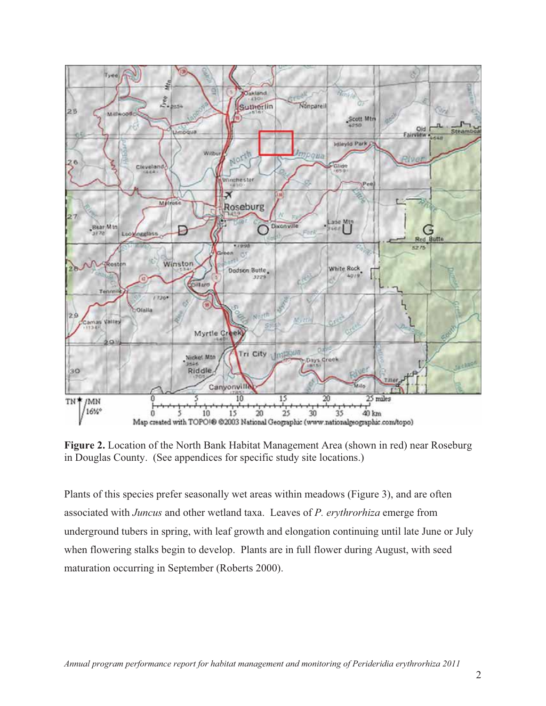

**Figure 2.** Location of the North Bank Habitat Management Area (shown in red) near Roseburg in Douglas County. (See appendices for specific study site locations.)

Plants of this species prefer seasonally wet areas within meadows (Figure 3), and are often associated with *Juncus* and other wetland taxa. Leaves of *P. erythrorhiza* emerge from underground tubers in spring, with leaf growth and elongation continuing until late June or July when flowering stalks begin to develop. Plants are in full flower during August, with seed maturation occurring in September (Roberts 2000).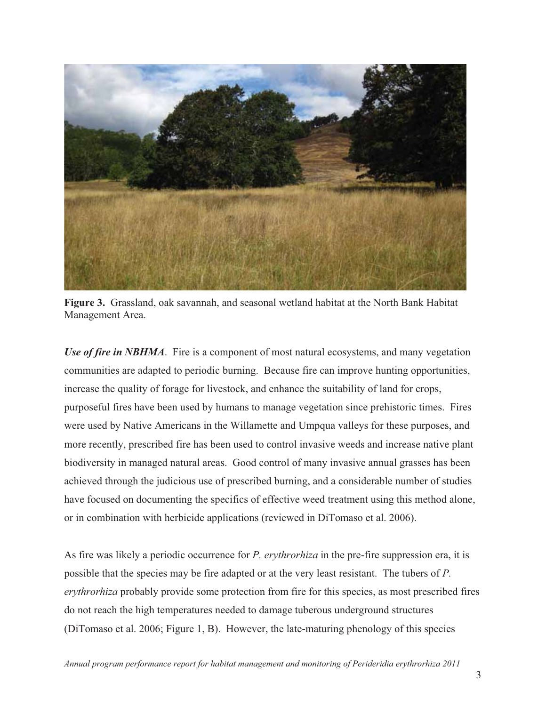

**Figure 3.** Grassland, oak savannah, and seasonal wetland habitat at the North Bank Habitat Management Area.

*Use of fire in NBHMA*. Fire is a component of most natural ecosystems, and many vegetation communities are adapted to periodic burning. Because fire can improve hunting opportunities, increase the quality of forage for livestock, and enhance the suitability of land for crops, purposeful fires have been used by humans to manage vegetation since prehistoric times. Fires were used by Native Americans in the Willamette and Umpqua valleys for these purposes, and more recently, prescribed fire has been used to control invasive weeds and increase native plant biodiversity in managed natural areas. Good control of many invasive annual grasses has been achieved through the judicious use of prescribed burning, and a considerable number of studies have focused on documenting the specifics of effective weed treatment using this method alone, or in combination with herbicide applications (reviewed in DiTomaso et al. 2006).

As fire was likely a periodic occurrence for *P. erythrorhiza* in the pre-fire suppression era, it is possible that the species may be fire adapted or at the very least resistant. The tubers of *P. erythrorhiza* probably provide some protection from fire for this species, as most prescribed fires do not reach the high temperatures needed to damage tuberous underground structures (DiTomaso et al. 2006; Figure 1, B). However, the late-maturing phenology of this species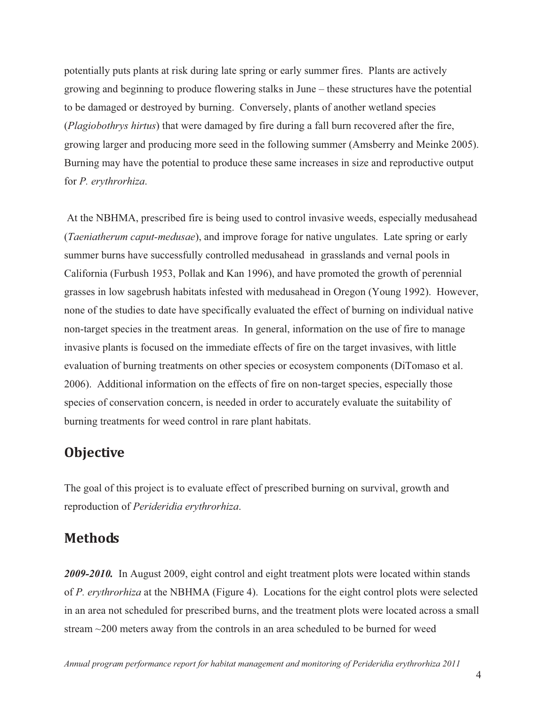potentially puts plants at risk during late spring or early summer fires. Plants are actively growing and beginning to produce flowering stalks in June – these structures have the potential to be damaged or destroyed by burning. Conversely, plants of another wetland species (*Plagiobothrys hirtus*) that were damaged by fire during a fall burn recovered after the fire, growing larger and producing more seed in the following summer (Amsberry and Meinke 2005). Burning may have the potential to produce these same increases in size and reproductive output for *P. erythrorhiza*.

 At the NBHMA, prescribed fire is being used to control invasive weeds, especially medusahead (*Taeniatherum caput-medusae*), and improve forage for native ungulates. Late spring or early summer burns have successfully controlled medusahead in grasslands and vernal pools in California (Furbush 1953, Pollak and Kan 1996), and have promoted the growth of perennial grasses in low sagebrush habitats infested with medusahead in Oregon (Young 1992). However, none of the studies to date have specifically evaluated the effect of burning on individual native non-target species in the treatment areas. In general, information on the use of fire to manage invasive plants is focused on the immediate effects of fire on the target invasives, with little evaluation of burning treatments on other species or ecosystem components (DiTomaso et al. 2006). Additional information on the effects of fire on non-target species, especially those species of conservation concern, is needed in order to accurately evaluate the suitability of burning treatments for weed control in rare plant habitats.

#### **Objective-**

The goal of this project is to evaluate effect of prescribed burning on survival, growth and reproduction of *Perideridia erythrorhiza*.

#### **Methods-**

*2009-2010.* In August 2009, eight control and eight treatment plots were located within stands of *P. erythrorhiza* at the NBHMA (Figure 4). Locations for the eight control plots were selected in an area not scheduled for prescribed burns, and the treatment plots were located across a small stream ~200 meters away from the controls in an area scheduled to be burned for weed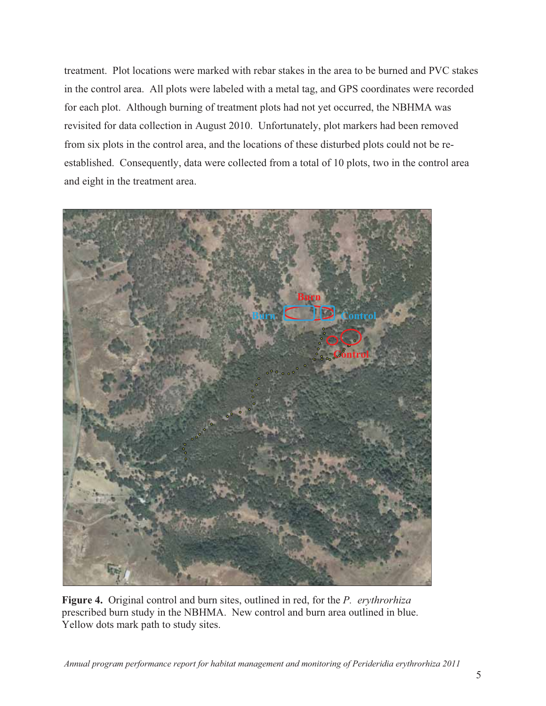treatment. Plot locations were marked with rebar stakes in the area to be burned and PVC stakes in the control area. All plots were labeled with a metal tag, and GPS coordinates were recorded for each plot. Although burning of treatment plots had not yet occurred, the NBHMA was revisited for data collection in August 2010. Unfortunately, plot markers had been removed from six plots in the control area, and the locations of these disturbed plots could not be reestablished. Consequently, data were collected from a total of 10 plots, two in the control area and eight in the treatment area.



**Figure 4.** Original control and burn sites, outlined in red, for the *P. erythrorhiza*  prescribed burn study in the NBHMA. New control and burn area outlined in blue. Yellow dots mark path to study sites.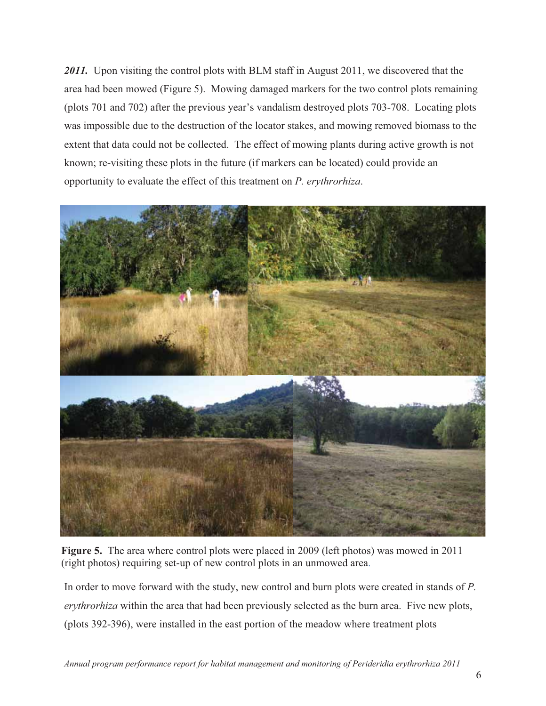2011. Upon visiting the control plots with BLM staff in August 2011, we discovered that the area had been mowed (Figure 5). Mowing damaged markers for the two control plots remaining (plots 701 and 702) after the previous year's vandalism destroyed plots 703-708. Locating plots was impossible due to the destruction of the locator stakes, and mowing removed biomass to the extent that data could not be collected. The effect of mowing plants during active growth is not known; re-visiting these plots in the future (if markers can be located) could provide an opportunity to evaluate the effect of this treatment on *P. erythrorhiza*.



**Figure 5.** The area where control plots were placed in 2009 (left photos) was mowed in 2011 (right photos) requiring set-up of new control plots in an unmowed area.

In order to move forward with the study, new control and burn plots were created in stands of *P. erythrorhiza* within the area that had been previously selected as the burn area. Five new plots, (plots 392-396), were installed in the east portion of the meadow where treatment plots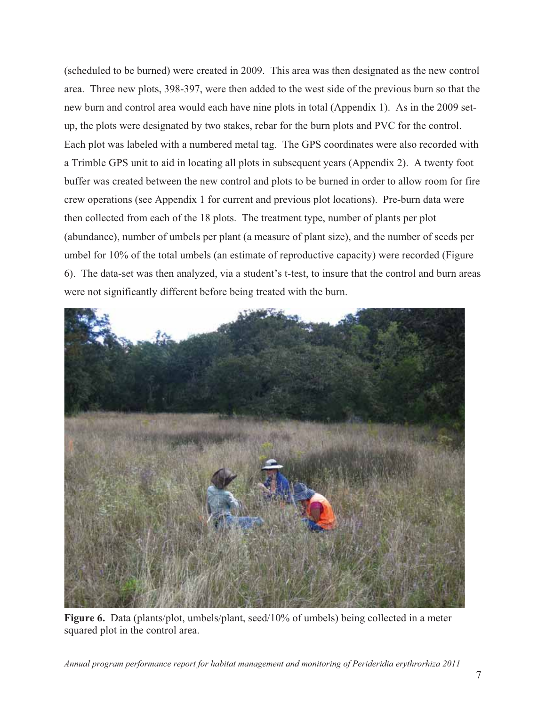(scheduled to be burned) were created in 2009. This area was then designated as the new control area. Three new plots, 398-397, were then added to the west side of the previous burn so that the new burn and control area would each have nine plots in total (Appendix 1). As in the 2009 setup, the plots were designated by two stakes, rebar for the burn plots and PVC for the control. Each plot was labeled with a numbered metal tag. The GPS coordinates were also recorded with a Trimble GPS unit to aid in locating all plots in subsequent years (Appendix 2). A twenty foot buffer was created between the new control and plots to be burned in order to allow room for fire crew operations (see Appendix 1 for current and previous plot locations). Pre-burn data were then collected from each of the 18 plots. The treatment type, number of plants per plot (abundance), number of umbels per plant (a measure of plant size), and the number of seeds per umbel for 10% of the total umbels (an estimate of reproductive capacity) were recorded (Figure 6). The data-set was then analyzed, via a student's t-test, to insure that the control and burn areas were not significantly different before being treated with the burn.



**Figure 6.** Data (plants/plot, umbels/plant, seed/10% of umbels) being collected in a meter squared plot in the control area.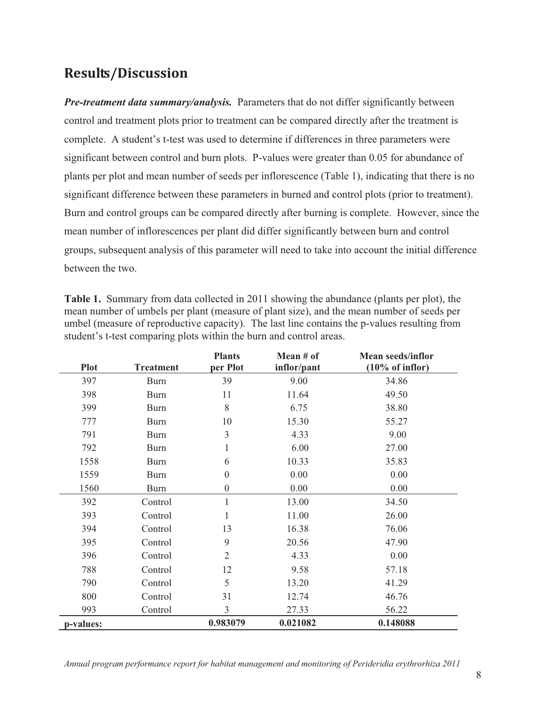### **Results/Discussion-**

*Pre-treatment data summary/analysis.* Parameters that do not differ significantly between control and treatment plots prior to treatment can be compared directly after the treatment is complete. A student's t-test was used to determine if differences in three parameters were significant between control and burn plots. P-values were greater than 0.05 for abundance of plants per plot and mean number of seeds per inflorescence (Table 1), indicating that there is no significant difference between these parameters in burned and control plots (prior to treatment). Burn and control groups can be compared directly after burning is complete. However, since the mean number of inflorescences per plant did differ significantly between burn and control groups, subsequent analysis of this parameter will need to take into account the initial difference between the two.

**Table 1.** Summary from data collected in 2011 showing the abundance (plants per plot), the mean number of umbels per plant (measure of plant size), and the mean number of seeds per umbel (measure of reproductive capacity). The last line contains the p-values resulting from student's t-test comparing plots within the burn and control areas.

| <b>Plot</b> | <b>Treatment</b> | <b>Plants</b><br>per Plot | Mean $#$ of<br>inflor/pant | <b>Mean seeds/inflor</b><br>$(10\% \text{ of inflor})$ |
|-------------|------------------|---------------------------|----------------------------|--------------------------------------------------------|
| 397         | <b>Burn</b>      | 39                        | 9.00                       | 34.86                                                  |
|             |                  |                           |                            |                                                        |
| 398         | <b>Burn</b>      | 11                        | 11.64                      | 49.50                                                  |
| 399         | Burn             | 8                         | 6.75                       | 38.80                                                  |
| 777         | <b>Burn</b>      | 10                        | 15.30                      | 55.27                                                  |
| 791         | <b>Burn</b>      | 3                         | 4.33                       | 9.00                                                   |
| 792         | <b>Burn</b>      | 1                         | 6.00                       | 27.00                                                  |
| 1558        | <b>Burn</b>      | 6                         | 10.33                      | 35.83                                                  |
| 1559        | <b>Burn</b>      | $\overline{0}$            | 0.00                       | 0.00                                                   |
| 1560        | <b>Burn</b>      | $\boldsymbol{0}$          | 0.00                       | 0.00                                                   |
| 392         | Control          | 1                         | 13.00                      | 34.50                                                  |
| 393         | Control          | 1                         | 11.00                      | 26.00                                                  |
| 394         | Control          | 13                        | 16.38                      | 76.06                                                  |
| 395         | Control          | 9                         | 20.56                      | 47.90                                                  |
| 396         | Control          | $\overline{2}$            | 4.33                       | 0.00                                                   |
| 788         | Control          | 12                        | 9.58                       | 57.18                                                  |
| 790         | Control          | 5                         | 13.20                      | 41.29                                                  |
| 800         | Control          | 31                        | 12.74                      | 46.76                                                  |
| 993         | Control          | 3                         | 27.33                      | 56.22                                                  |
| p-values:   |                  | 0.983079                  | 0.021082                   | 0.148088                                               |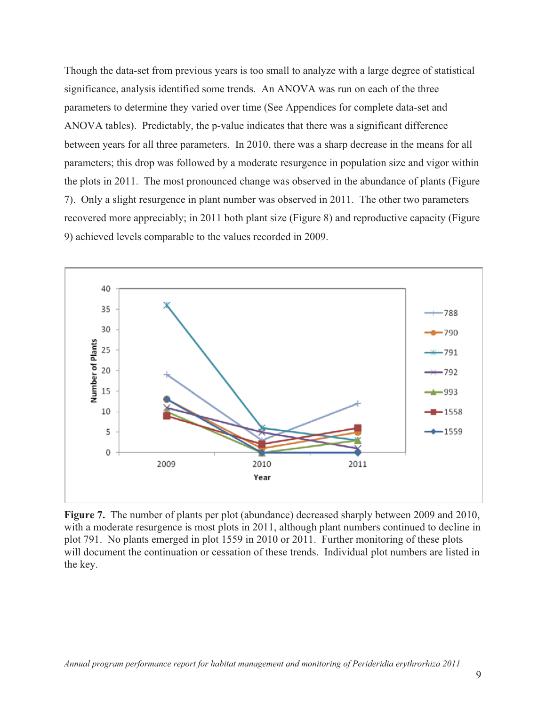Though the data-set from previous years is too small to analyze with a large degree of statistical significance, analysis identified some trends. An ANOVA was run on each of the three parameters to determine they varied over time (See Appendices for complete data-set and ANOVA tables). Predictably, the p-value indicates that there was a significant difference between years for all three parameters. In 2010, there was a sharp decrease in the means for all parameters; this drop was followed by a moderate resurgence in population size and vigor within the plots in 2011. The most pronounced change was observed in the abundance of plants (Figure 7). Only a slight resurgence in plant number was observed in 2011. The other two parameters recovered more appreciably; in 2011 both plant size (Figure 8) and reproductive capacity (Figure 9) achieved levels comparable to the values recorded in 2009.



**Figure 7.** The number of plants per plot (abundance) decreased sharply between 2009 and 2010, with a moderate resurgence is most plots in 2011, although plant numbers continued to decline in plot 791. No plants emerged in plot 1559 in 2010 or 2011. Further monitoring of these plots will document the continuation or cessation of these trends. Individual plot numbers are listed in the key.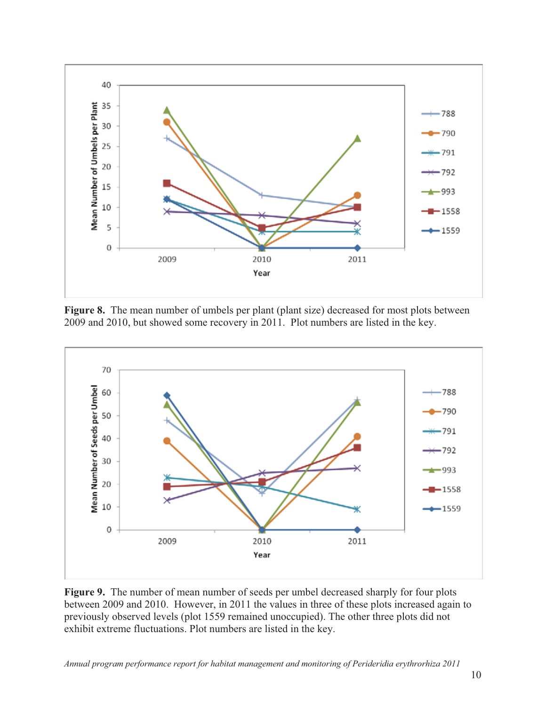

Figure 8. The mean number of umbels per plant (plant size) decreased for most plots between 2009 and 2010, but showed some recovery in 2011. Plot numbers are listed in the key.



**Figure 9.** The number of mean number of seeds per umbel decreased sharply for four plots between 2009 and 2010. However, in 2011 the values in three of these plots increased again to previously observed levels (plot 1559 remained unoccupied). The other three plots did not exhibit extreme fluctuations. Plot numbers are listed in the key.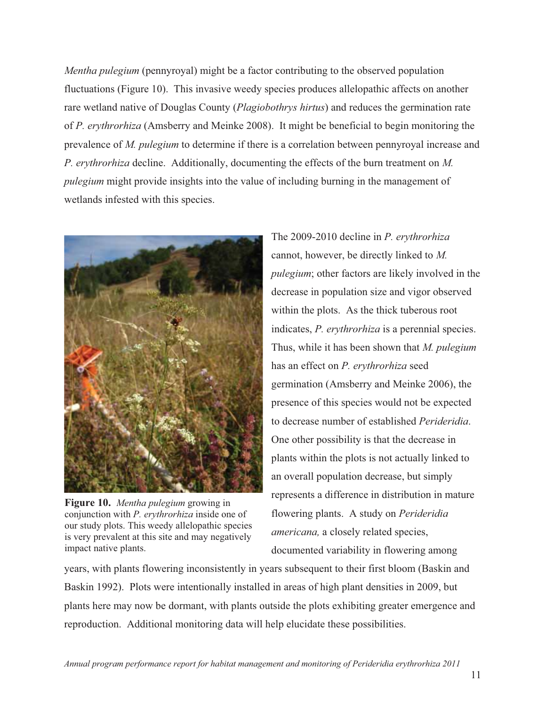*Mentha pulegium* (pennyroyal) might be a factor contributing to the observed population fluctuations (Figure 10). This invasive weedy species produces allelopathic affects on another rare wetland native of Douglas County (*Plagiobothrys hirtus*) and reduces the germination rate of *P. erythrorhiza* (Amsberry and Meinke 2008). It might be beneficial to begin monitoring the prevalence of *M. pulegium* to determine if there is a correlation between pennyroyal increase and *P. erythrorhiza* decline. Additionally, documenting the effects of the burn treatment on *M. pulegium* might provide insights into the value of including burning in the management of wetlands infested with this species.



**Figure 10.** *Mentha pulegium* growing in conjunction with *P. erythrorhiza* inside one of our study plots. This weedy allelopathic species is very prevalent at this site and may negatively impact native plants.

The 2009-2010 decline in *P. erythrorhiza*  cannot, however, be directly linked to *M. pulegium*; other factors are likely involved in the decrease in population size and vigor observed within the plots. As the thick tuberous root indicates, *P. erythrorhiza* is a perennial species. Thus, while it has been shown that *M. pulegium* has an effect on *P. erythrorhiza* seed germination (Amsberry and Meinke 2006), the presence of this species would not be expected to decrease number of established *Perideridia*. One other possibility is that the decrease in plants within the plots is not actually linked to an overall population decrease, but simply represents a difference in distribution in mature flowering plants. A study on *Perideridia americana,* a closely related species, documented variability in flowering among

years, with plants flowering inconsistently in years subsequent to their first bloom (Baskin and Baskin 1992). Plots were intentionally installed in areas of high plant densities in 2009, but plants here may now be dormant, with plants outside the plots exhibiting greater emergence and reproduction. Additional monitoring data will help elucidate these possibilities.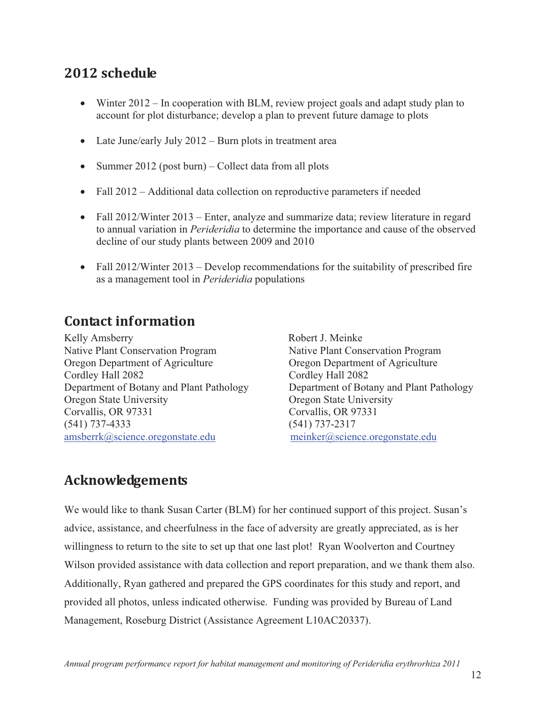# 2012 schedule

- Winter 2012 In cooperation with BLM, review project goals and adapt study plan to account for plot disturbance; develop a plan to prevent future damage to plots
- Late June/early July 2012 Burn plots in treatment area
- Summer 2012 (post burn) Collect data from all plots
- Fall 2012 Additional data collection on reproductive parameters if needed
- Fall 2012/Winter 2013 Enter, analyze and summarize data; review literature in regard to annual variation in *Perideridia* to determine the importance and cause of the observed decline of our study plants between 2009 and 2010
- Fall 2012/Winter 2013 Develop recommendations for the suitability of prescribed fire as a management tool in *Perideridia* populations

### **Contact information**

Kelly Amsberry Robert J. Meinke Native Plant Conservation Program Native Plant Conservation Program Oregon Department of Agriculture Oregon Department of Agriculture Cordley Hall 2082 Cordley Hall 2082 Oregon State University Oregon State University Corvallis, OR 97331 Corvallis, OR 97331 (541) 737-4333 (541) 737-2317 amsberrk@science.oregonstate.edu meinker@science.oregonstate.edu

Department of Botany and Plant Pathology Department of Botany and Plant Pathology

### **Acknowledgements-**

We would like to thank Susan Carter (BLM) for her continued support of this project. Susan's advice, assistance, and cheerfulness in the face of adversity are greatly appreciated, as is her willingness to return to the site to set up that one last plot! Ryan Woolverton and Courtney Wilson provided assistance with data collection and report preparation, and we thank them also. Additionally, Ryan gathered and prepared the GPS coordinates for this study and report, and provided all photos, unless indicated otherwise. Funding was provided by Bureau of Land Management, Roseburg District (Assistance Agreement L10AC20337).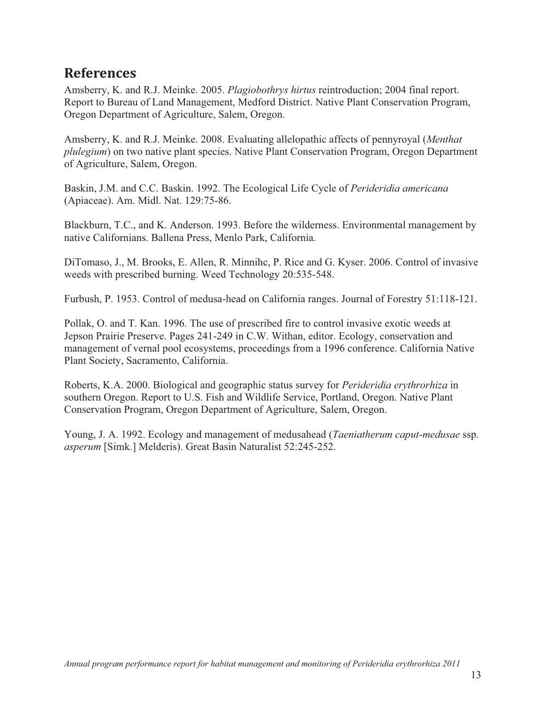#### **References-**

Amsberry, K. and R.J. Meinke. 2005. *Plagiobothrys hirtus* reintroduction; 2004 final report. Report to Bureau of Land Management, Medford District. Native Plant Conservation Program, Oregon Department of Agriculture, Salem, Oregon.

Amsberry, K. and R.J. Meinke. 2008. Evaluating allelopathic affects of pennyroyal (*Menthat plulegium*) on two native plant species. Native Plant Conservation Program, Oregon Department of Agriculture, Salem, Oregon.

Baskin, J.M. and C.C. Baskin. 1992. The Ecological Life Cycle of *Perideridia americana* (Apiaceae). Am. Midl. Nat. 129:75-86.

Blackburn, T.C., and K. Anderson. 1993. Before the wilderness. Environmental management by native Californians. Ballena Press, Menlo Park, California.

DiTomaso, J., M. Brooks, E. Allen, R. Minnihc, P. Rice and G. Kyser. 2006. Control of invasive weeds with prescribed burning. Weed Technology 20:535-548.

Furbush, P. 1953. Control of medusa-head on California ranges. Journal of Forestry 51:118-121.

Pollak, O. and T. Kan. 1996. The use of prescribed fire to control invasive exotic weeds at Jepson Prairie Preserve. Pages 241-249 in C.W. Withan, editor. Ecology, conservation and management of vernal pool ecosystems, proceedings from a 1996 conference. California Native Plant Society, Sacramento, California.

Roberts, K.A. 2000. Biological and geographic status survey for *Perideridia erythrorhiza* in southern Oregon. Report to U.S. Fish and Wildlife Service, Portland, Oregon. Native Plant Conservation Program, Oregon Department of Agriculture, Salem, Oregon.

Young, J. A. 1992. Ecology and management of medusahead (*Taeniatherum caput-medusae* ssp. *asperum* [Simk.] Melderis). Great Basin Naturalist 52:245-252.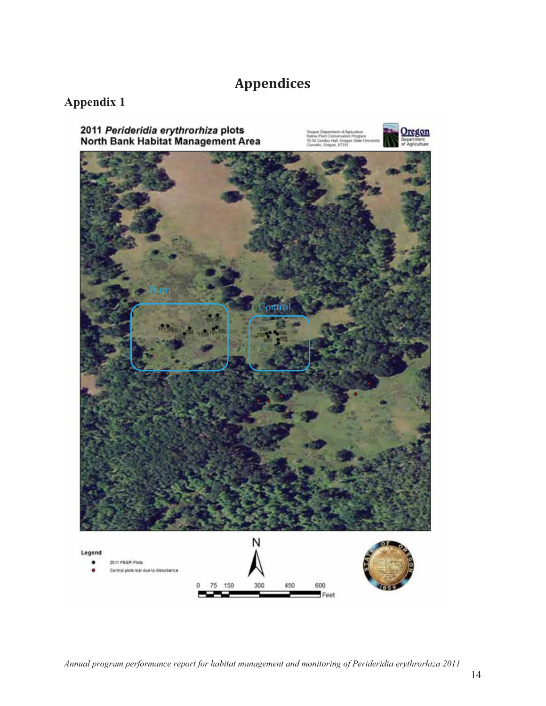## **Appendices-**

### **Appendix 1**

2011 Perideridia erythrorhiza plots<br>North Bank Habitat Management Area



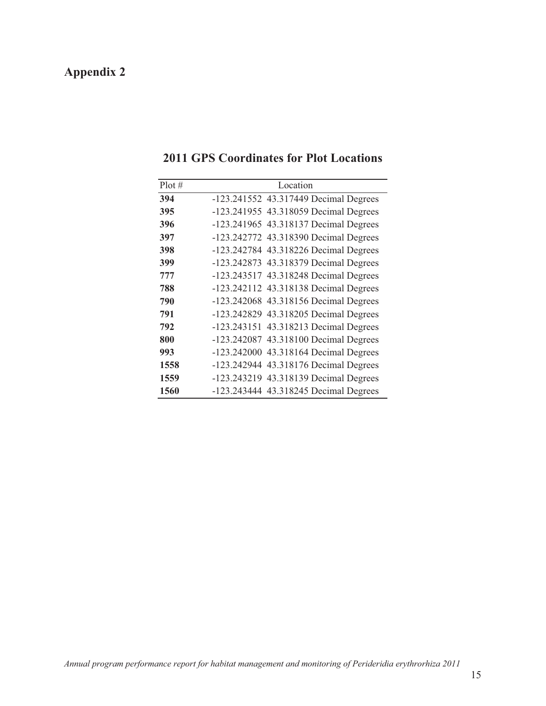# **Appendix 2**

| Plot# | Location                              |
|-------|---------------------------------------|
| 394   | -123.241552 43.317449 Decimal Degrees |
| 395   | -123.241955 43.318059 Decimal Degrees |
| 396   | -123.241965 43.318137 Decimal Degrees |
| 397   | -123.242772 43.318390 Decimal Degrees |
| 398   | -123.242784 43.318226 Decimal Degrees |
| 399   | -123.242873 43.318379 Decimal Degrees |
| 777   | -123.243517 43.318248 Decimal Degrees |
| 788   | -123.242112 43.318138 Decimal Degrees |
| 790   | -123.242068 43.318156 Decimal Degrees |
| 791   | -123.242829 43.318205 Decimal Degrees |
| 792   | -123.243151 43.318213 Decimal Degrees |
| 800   | -123.242087 43.318100 Decimal Degrees |
| 993   | -123.242000 43.318164 Decimal Degrees |
| 1558  | -123.242944 43.318176 Decimal Degrees |
| 1559  | -123.243219 43.318139 Decimal Degrees |
| 1560  | -123.243444 43.318245 Decimal Degrees |

#### **2011 GPS Coordinates for Plot Locations**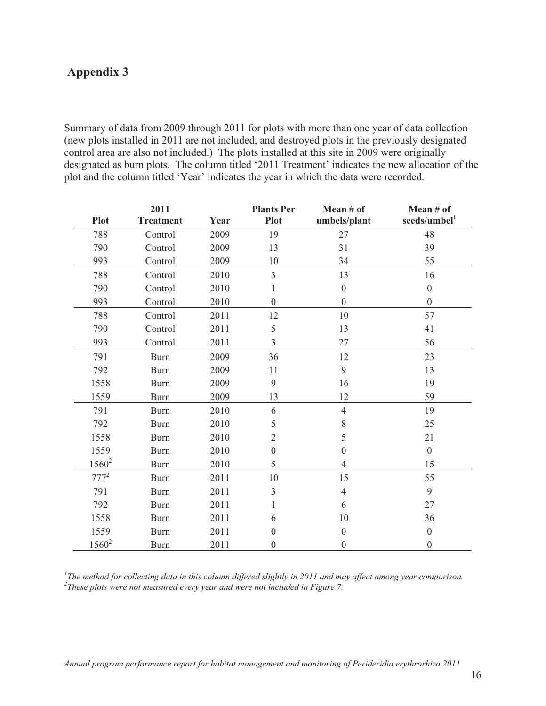#### **Appendix 3**

Summary of data from 2009 through 2011 for plots with more than one year of data collection (new plots installed in 2011 are not included, and destroyed plots in the previously designated control area are also not included.) The plots installed at this site in 2009 were originally designated as burn plots. The column titled '2011 Treatment' indicates the new allocation of the plot and the column titled 'Year' indicates the year in which the data were recorded.

|             | 2011             |      | <b>Plants Per</b> | Mean # of        | Mean # of                |
|-------------|------------------|------|-------------------|------------------|--------------------------|
| <b>Plot</b> | <b>Treatment</b> | Year | <b>Plot</b>       | umbels/plant     | seeds/umbel <sup>1</sup> |
| 788         | Control          | 2009 | 19                | 27               | 48                       |
| 790         | Control          | 2009 | 13                | 31               | 39                       |
| 993         | Control          | 2009 | 10                | 34               | 55                       |
| 788         | Control          | 2010 | $\overline{3}$    | 13               | 16                       |
| 790         | Control          | 2010 | 1                 | $\boldsymbol{0}$ | $\boldsymbol{0}$         |
| 993         | Control          | 2010 | $\boldsymbol{0}$  | $\overline{0}$   | $\boldsymbol{0}$         |
| 788         | Control          | 2011 | 12                | 10               | 57                       |
| 790         | Control          | 2011 | 5                 | 13               | 41                       |
| 993         | Control          | 2011 | $\overline{3}$    | 27               | 56                       |
| 791         | <b>Burn</b>      | 2009 | 36                | 12               | 23                       |
| 792         | <b>Burn</b>      | 2009 | 11                | 9                | 13                       |
| 1558        | <b>Burn</b>      | 2009 | 9                 | 16               | 19                       |
| 1559        | <b>Burn</b>      | 2009 | 13                | 12               | 59                       |
| 791         | <b>Burn</b>      | 2010 | 6                 | $\overline{4}$   | 19                       |
| 792         | <b>Burn</b>      | 2010 | 5                 | 8                | 25                       |
| 1558        | <b>Burn</b>      | 2010 | $\overline{2}$    | 5                | 21                       |
| 1559        | <b>Burn</b>      | 2010 | $\overline{0}$    | $\Omega$         | $\boldsymbol{0}$         |
| $1560^2$    | <b>Burn</b>      | 2010 | 5                 | $\overline{4}$   | 15                       |
| $777^2$     | <b>Burn</b>      | 2011 | 10                | 15               | 55                       |
| 791         | <b>Burn</b>      | 2011 | $\overline{3}$    | $\overline{4}$   | 9                        |
| 792         | <b>Burn</b>      | 2011 | $\mathbf{1}$      | 6                | 27                       |
| 1558        | <b>Burn</b>      | 2011 | 6                 | 10               | 36                       |
| 1559        | <b>Burn</b>      | 2011 | $\theta$          | $\mathbf{0}$     | $\boldsymbol{0}$         |
| $1560^2$    | <b>Burn</b>      | 2011 | $\boldsymbol{0}$  | $\theta$         | $\boldsymbol{0}$         |

<sup>1</sup>The method for collecting data in this column differed slightly in 2011 and may affect among year comparison.<br><sup>2</sup>These plots were not measured every year and were not included in Figure 7. <sup>2</sup>These plots were not measured every year and were not included in Figure 7.